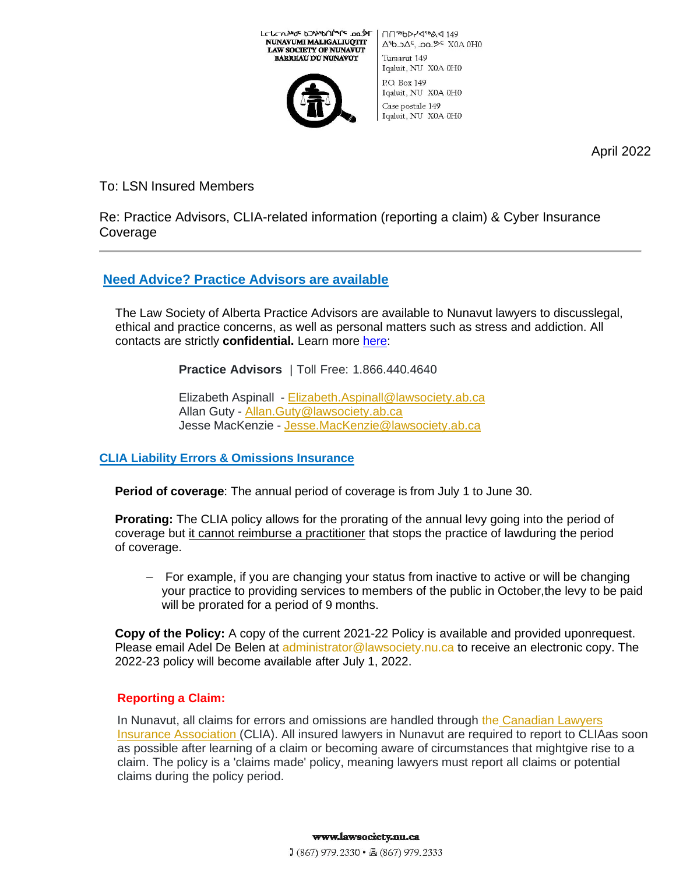

L⊏הרעאיק פראיβטלייר סט¢ר

NUNAVUMI MALIGALIUQTIT

∩∩<sup>56</sup>b>/⊲<sup>56</sup>ል<149  $\Delta$ b  $\Delta$ c,  $\Delta$ o  $\Delta$ c XOA OHO Turaarut 149 Iqaluit, NU X0A 0H0 P.O. Box 149 Iqaluit, NU X0A 0H0 Case postale 149 Iqaluit, NU X0A 0H0

April 2022

# To: LSN Insured Members

Re: Practice Advisors, CLIA-related information (reporting a claim) & Cyber Insurance Coverage

# **Need Advice? Practice Advisors are available**

The Law Society of Alberta Practice Advisors are available to Nunavut lawyers to discusslegal, ethical and practice concerns, as well as personal matters such as stress and addiction. All contacts are strictly **confidential.** Learn more [here:](https://www.lawsociety.nu.ca/en/practice-advisors)

**Practice Advisors** | Toll Free: 1.866.440.4640

Elizabeth Aspinall - [Elizabeth.Aspinall@lawsociety.ab.ca](mailto:Elizabeth.Aspinall@lawsopciety.ab.ca) Allan Guty - [Allan.Guty@lawsociety.ab.ca](mailto:Allan.Guty@lawsociety.ab.ca) Jesse MacKenzie - [Jesse.MacKenzie@lawsociety.ab.ca](mailto:Jesse.MacKenzie@lawsociety.ab.ca)

## **CLIA Liability Errors & Omissions Insurance**

**Period of coverage**: The annual period of coverage is from July 1 to June 30.

**Prorating:** The CLIA policy allows for the prorating of the annual levy going into the period of coverage but it cannot reimburse a practitioner that stops the practice of lawduring the period of coverage.

− For example, if you are changing your status from inactive to active or will be changing your practice to providing services to members of the public in October,the levy to be paid will be prorated for a period of 9 months.

**Copy of the Policy:** A copy of the current 2021-22 Policy is available and provided uponrequest. Please email Adel De Belen at [administrator@lawsociety.nu.ca t](mailto:administrator@lawsociety.nu.ca)o receive an electronic copy. The 2022-23 policy will become available after July 1, 2022.

## **Reporting a Claim:**

In Nunavut, all claims for errors and omissions are handled through the [Canadian Lawyers](https://www.clia.ca/) [Insurance Association \(](https://www.clia.ca/)CLIA). All insured lawyers in Nunavut are required to report to CLIAas soon as possible after learning of a claim or becoming aware of circumstances that mightgive rise to a claim. The policy is a 'claims made' policy, meaning lawyers must report all claims or potential claims during the policy period.